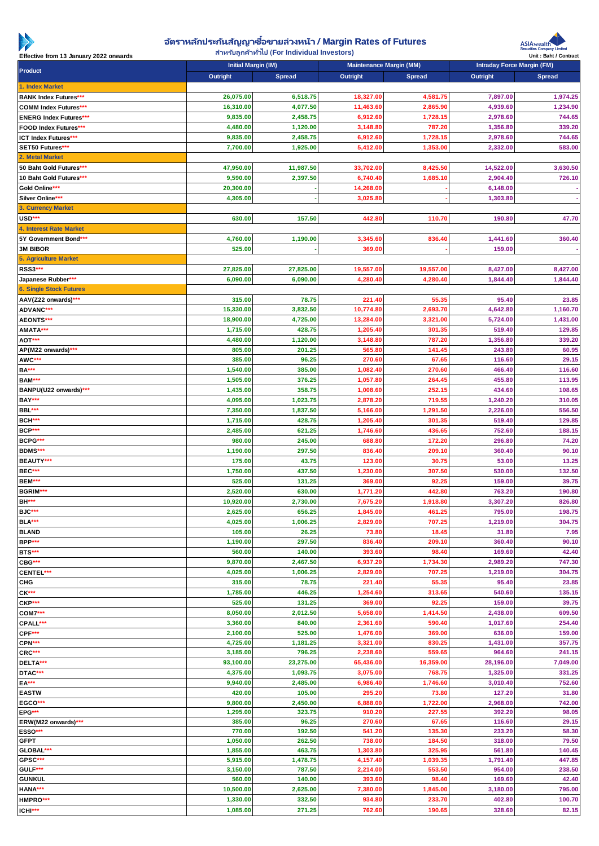

## **อตั ราหลกั ประกนั สญั ญาซื ญาซอื ้ ขายล่วงหน้า** / Margin Rates of Futures

**สา หรบัลูกคา้ทัว่ ไป** (For Individual Investors)



| Effective from 13 January 2022 onwards                       | $\frac{1}{2}$ . This begins the separate that is a constant in the second $\frac{1}{2}$<br>Initial Margin (IM) |                      | Maintenance Margin (MM) |                      |                      | Unit: Baht / Contract<br>Intraday Force Margin (FM) |  |
|--------------------------------------------------------------|----------------------------------------------------------------------------------------------------------------|----------------------|-------------------------|----------------------|----------------------|-----------------------------------------------------|--|
| Product                                                      |                                                                                                                |                      |                         |                      |                      |                                                     |  |
|                                                              | Outright                                                                                                       | Spread               | Outright                | Spread               | Outright             | Spread                                              |  |
| 1. Index Market                                              |                                                                                                                |                      |                         |                      |                      |                                                     |  |
| <b>BANK Index Futures***</b><br><b>COMM Index Futures***</b> | 26,075.00<br>16,310.00                                                                                         | 6,518.75<br>4,077.50 | 18,327.00<br>11,463.60  | 4,581.75<br>2,865.90 | 7,897.00<br>4,939.60 | 1,974.25<br>1,234.90                                |  |
|                                                              | 9,835.00                                                                                                       | 2,458.75             | 6,912.60                | 1,728.15             | 2,978.60             | 744.65                                              |  |
| <b>ENERG Index Futures***</b><br>FOOD Index Futures***       | 4,480.00                                                                                                       | 1,120.00             | 3,148.80                | 787.20               | 1,356.80             | 339.20                                              |  |
| ICT Index Futures***                                         | 9,835.00                                                                                                       | 2,458.75             |                         | 1,728.15             | 2,978.60             | 744.65                                              |  |
|                                                              |                                                                                                                |                      | 6,912.60                |                      |                      |                                                     |  |
| SET50 Futures***<br>2. Metal Market                          | 7,700.00                                                                                                       | 1,925.00             | 5,412.00                | 1,353.00             | 2,332.00             | 583.00                                              |  |
|                                                              |                                                                                                                |                      |                         |                      |                      |                                                     |  |
| 50 Baht Gold Futures***                                      | 47,950.00                                                                                                      | 11,987.50            | 33,702.00               | 8,425.50             | 14,522.00            | 3,630.50                                            |  |
| 10 Baht Gold Futures***                                      | 9,590.00                                                                                                       | 2,397.50             | 6,740.40                | 1,685.10             | 2,904.40             | 726.10                                              |  |
| Gold Online***                                               | 20,300.00                                                                                                      |                      | 14,268.00               |                      | 6,148.00             |                                                     |  |
| Silver Online***                                             | 4,305.00                                                                                                       |                      | 3,025.80                |                      | 1.303.80             |                                                     |  |
| 3. Currency Market                                           |                                                                                                                |                      |                         |                      |                      |                                                     |  |
| USD***                                                       | 630.00                                                                                                         | 157.50               | 442.80                  | 110.70               | 190.80               | 47.70                                               |  |
| 4. Interest Rate Market                                      |                                                                                                                |                      |                         |                      |                      |                                                     |  |
| 5Y Government Bond***                                        | 4,760.00                                                                                                       | 1,190.00             | 3,345.60                | 836.40               | 1,441.60             | 360.40                                              |  |
| 3M BIBOR                                                     | 525.00                                                                                                         |                      | 369.00                  |                      | 159.00               |                                                     |  |
| 5. Agriculture Market                                        |                                                                                                                |                      |                         |                      |                      |                                                     |  |
| RSS3***                                                      | 27,825.00                                                                                                      | 27,825.00            | 19,557.00               | 19,557.00            | 8,427.00             | 8,427.00                                            |  |
| Japanese Rubber***                                           | 6,090.00                                                                                                       | 6,090.00             | 4,280.40                | 4,280.40             | 1,844.40             | 1,844.40                                            |  |
| <b>6. Single Stock Futures</b>                               |                                                                                                                |                      |                         |                      |                      |                                                     |  |
| AAV(Z22 onwards)***                                          | 315.00                                                                                                         | 78.75                | 221.40                  | 55.35                | 95.40                | 23.85                                               |  |
| ADVANC***                                                    | 15,330.00                                                                                                      | 3,832.50             | 10,774.80               | 2,693.70             | 4,642.80             | 1,160.70                                            |  |
| AEONTS***                                                    | 18,900.00                                                                                                      | 4,725.00             | 13,284.00               | 3,321.00             | 5,724.00             | 1,431.00                                            |  |
| AMATA***                                                     | 1,715.00                                                                                                       | 428.75               | 1,205.40                | 301.35               | 519.40               | 129.85                                              |  |
| AOT***                                                       | 4,480.00                                                                                                       | 1,120.00             | 3,148.80                | 787.20               | 1,356.80             | 339.20                                              |  |
| AP(M22 onwards)***                                           | 805.00                                                                                                         | 201.25               | 565.80                  | 141.45               | 243.80               | 60.95                                               |  |
| AWC***                                                       | 385.00                                                                                                         | 96.25                | 270.60                  | 67.65                | 116.60               | 29.15                                               |  |
| <b>BA***</b>                                                 | 1,540.00                                                                                                       | 385.00               | 1,082.40                | 270.60               | 466.40               | 116.60                                              |  |
| BAM***                                                       | 1,505.00                                                                                                       | 376.25               | 1,057.80                | 264.45               | 455.80               | 113.95                                              |  |
| BANPU(U22 onwards)***                                        | 1,435.00                                                                                                       | 358.75               | 1,008.60                | 252.15               | 434.60               | 108.65                                              |  |
| BAY***                                                       | 4,095.00                                                                                                       | 1,023.75             | 2,878.20                | 719.55               | 1,240.20             | 310.05                                              |  |
| BBL***                                                       | 7,350.00                                                                                                       | 1,837.50             | 5,166.00                | 1,291.50             | 2,226.00             | 556.50                                              |  |
| BCH***                                                       | 1,715.00                                                                                                       | 428.75               | 1,205.40                | 301.35               | 519.40               | 129.85                                              |  |
| BCP***                                                       | 2,485.00                                                                                                       | 621.25               | 1,746.60                | 436.65               | 752.60               | 188.15                                              |  |
| BCPG***                                                      | 980.00                                                                                                         | 245.00               | 688.80                  | 172.20               | 296.80               | 74.20                                               |  |
| BDMS***                                                      | 1,190.00                                                                                                       | 297.50               | 836.40                  | 209.10               | 360.40               | 90.10                                               |  |
| BEAUTY***                                                    | 175.00                                                                                                         | 43.75                | 123.00                  | 30.75                | 53.00                | 13.25                                               |  |
| BEC***                                                       | 1,750.00                                                                                                       | 437.50               | 1,230.00                | 307.50               | 530.00               | 132.50                                              |  |
| BEM***                                                       | 525.00                                                                                                         | 131.25               | 369.00                  | 92.2                 | 159.00               | 39.75                                               |  |
| BGRIM***                                                     | 2,520.00                                                                                                       | 630.00               | 1,771.20                | 442.80               | 763.20               | 190.80                                              |  |
| <b>BH***</b>                                                 | 10,920.00                                                                                                      | 2,730.00             | 7,675.20                | 1,918.80             | 3,307.20             | 826.80                                              |  |
| BJC***                                                       | 2,625.00                                                                                                       | 656.25               | 1,845.00                | 461.25               | 795.00               | 198.75                                              |  |
| BLA***                                                       | 4,025.00                                                                                                       | 1,006.25             | 2,829.00                | 707.25               | 1,219.00             | 304.75                                              |  |
| <b>BLAND</b>                                                 | 105.00                                                                                                         | 26.25                | 73.80                   | 18.45                | 31.80                | 7.95                                                |  |
| BPP***                                                       | 1,190.00                                                                                                       | 297.50               | 836.40                  | 209.10               | 360.40               | 90.10                                               |  |
| BTS***                                                       | 560.00                                                                                                         | 140.00               | 393.60                  | 98.40                | 169.60               | 42.40                                               |  |
| CBG***                                                       | 9,870.00                                                                                                       | 2.467.50             | 6,937.20                | 1,734.30             | 2,989.20             | 747.30                                              |  |
| CENTEL***                                                    | 4,025.00                                                                                                       | 1,006.25             | 2,829.00                | 707.25               | 1,219.00             | 304.75                                              |  |
| <b>CHG</b>                                                   | 315.00                                                                                                         | 78.75                | 221.40                  | 55.35                | 95.40                | 23.85                                               |  |
| $CK***$                                                      | 1,785.00                                                                                                       | 446.25               | 1,254.60                | 313.65               | 540.60               | 135.15                                              |  |
| CKP***                                                       | 525.00                                                                                                         | 131.25               | 369.00                  | 92.25                | 159.00               | 39.75                                               |  |
| COM7***                                                      | 8,050.00                                                                                                       | 2,012.50             | 5,658.00                | 1,414.50             | 2,438.00             | 609.50                                              |  |
| CPALL***                                                     | 3,360.00                                                                                                       | 840.00               | 2,361.60                | 590.40               | 1,017.60             | 254.40                                              |  |
| CPF***                                                       | 2,100.00                                                                                                       | 525.00               | 1,476.00                | 369.00               | 636.00               | 159.00                                              |  |
| CPN***                                                       | 4,725.00                                                                                                       | 1,181.25             | 3,321.00                | 830.25               | 1,431.00             | 357.75                                              |  |
| CRC***                                                       | 3,185.00                                                                                                       | 796.25               | 2,238.60                | 559.65               | 964.60               | 241.15                                              |  |
| DELTA***                                                     | 93,100.00                                                                                                      | 23,275.00            | 65,436.00               | 16,359.00            | 28,196.00            | 7,049.00                                            |  |
| DTAC***                                                      | 4,375.00                                                                                                       | 1,093.75             | 3,075.00                | 768.75               | 1,325.00             | 331.25                                              |  |
| $EA***$                                                      | 9,940.00                                                                                                       | 2,485.00             | 6,986.40                | 1,746.60             | 3,010.40             | 752.60                                              |  |
| <b>EASTW</b>                                                 | 420.00                                                                                                         | 105.00               | 295.20                  | 73.80                | 127.20               | 31.80                                               |  |
| $\mathsf{EGCO}^{\star\star\star}$                            | 9,800.00                                                                                                       | 2,450.00             | 6,888.00                | 1,722.00             | 2,968.00             | 742.00                                              |  |
| EPG***<br>ERW(M22 onwards)***                                | 1,295.00<br>385.00                                                                                             | 323.75<br>96.25      | 910.20<br>270.60        | 227.55<br>67.65      | 392.20<br>116.60     | 98.05<br>29.15                                      |  |
| ESSO***                                                      | 770.00                                                                                                         | 192.50               | 541.20                  | 135.30               | 233.20               | 58.30                                               |  |
| <b>GFPT</b>                                                  | 1,050.00                                                                                                       | 262.50               | 738.00                  | 184.50               | 318.00               | 79.50                                               |  |
| GLOBAL***                                                    | 1,855.00                                                                                                       | 463.75               | 1,303.80                | 325.95               | 561.80               | 140.45                                              |  |
| GPSC***                                                      | 5,915.00                                                                                                       | 1,478.75             | 4,157.40                | 1,039.35             | 1,791.40             | 447.85                                              |  |
| GULF***                                                      | 3,150.00                                                                                                       | 787.50               | 2,214.00                | 553.50               | 954.00               | 238.50                                              |  |
| <b>GUNKUL</b>                                                | 560.00                                                                                                         | 140.00               | 393.60                  | 98.40                | 169.60               | 42.40                                               |  |
| HANA***                                                      | 10,500.00                                                                                                      | 2,625.00             | 7,380.00                | 1,845.00             | 3,180.00             | 795.00                                              |  |
| HMPRO***                                                     | 1,330.00                                                                                                       | 332.50               | 934.80                  | 233.70               | 402.80               | 100.70                                              |  |
| ICHI***                                                      | 1,085.00                                                                                                       | 271.25               | 762.60                  | 190.65               | 328.60               | 82.15                                               |  |
|                                                              |                                                                                                                |                      |                         |                      |                      |                                                     |  |